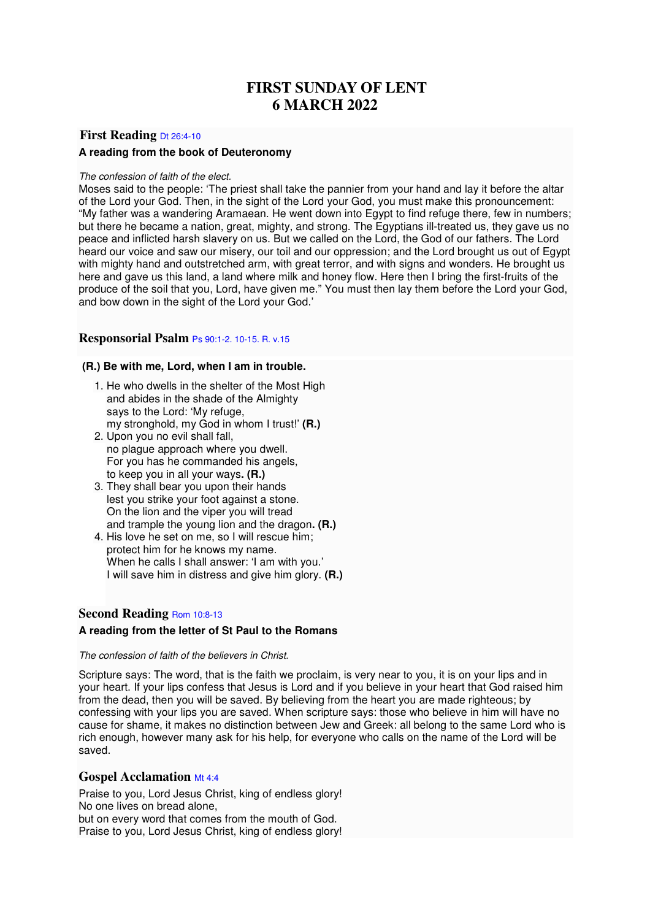# **FIRST SUNDAY OF LENT 6 MARCH 2022**

## **First Reading Dt 26:4-10 A reading from the book of Deuteronomy**

#### The confession of faith of the elect.

Moses said to the people: 'The priest shall take the pannier from your hand and lay it before the altar of the Lord your God. Then, in the sight of the Lord your God, you must make this pronouncement: "My father was a wandering Aramaean. He went down into Egypt to find refuge there, few in numbers; but there he became a nation, great, mighty, and strong. The Egyptians ill-treated us, they gave us no peace and inflicted harsh slavery on us. But we called on the Lord, the God of our fathers. The Lord heard our voice and saw our misery, our toil and our oppression; and the Lord brought us out of Egypt with mighty hand and outstretched arm, with great terror, and with signs and wonders. He brought us here and gave us this land, a land where milk and honey flow. Here then I bring the first-fruits of the produce of the soil that you, Lord, have given me." You must then lay them before the Lord your God, and bow down in the sight of the Lord your God.'

#### **Responsorial Psalm** Ps 90:1-2. 10-15. R. v.15

#### **(R.) Be with me, Lord, when I am in trouble.**

- 1. He who dwells in the shelter of the Most High and abides in the shade of the Almighty says to the Lord: 'My refuge, my stronghold, my God in whom I trust!' **(R.)**
- 2. Upon you no evil shall fall, no plague approach where you dwell. For you has he commanded his angels, to keep you in all your ways**. (R.)**
- 3. They shall bear you upon their hands lest you strike your foot against a stone. On the lion and the viper you will tread and trample the young lion and the dragon**. (R.)**
- 4. His love he set on me, so I will rescue him; protect him for he knows my name. When he calls I shall answer: 'I am with you.' I will save him in distress and give him glory. **(R.)**

#### **Second Reading** Rom 10:8-13

#### **A reading from the letter of St Paul to the Romans**

#### The confession of faith of the believers in Christ.

Scripture says: The word, that is the faith we proclaim, is very near to you, it is on your lips and in your heart. If your lips confess that Jesus is Lord and if you believe in your heart that God raised him from the dead, then you will be saved. By believing from the heart you are made righteous; by confessing with your lips you are saved. When scripture says: those who believe in him will have no cause for shame, it makes no distinction between Jew and Greek: all belong to the same Lord who is rich enough, however many ask for his help, for everyone who calls on the name of the Lord will be saved.

#### **Gospel Acclamation** Mt 4:4

Praise to you, Lord Jesus Christ, king of endless glory! No one lives on bread alone,

but on every word that comes from the mouth of God. Praise to you, Lord Jesus Christ, king of endless glory!